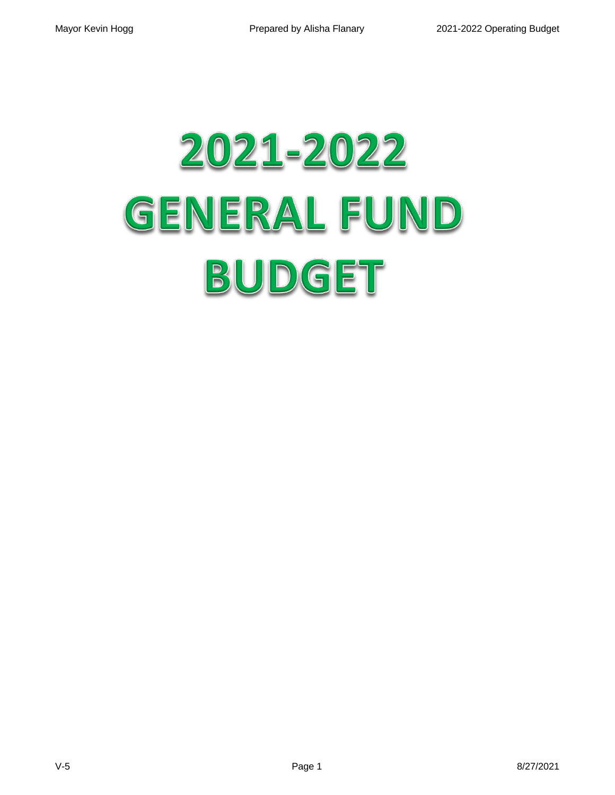# 2021-2022 **GENERAL FUND** BUDGET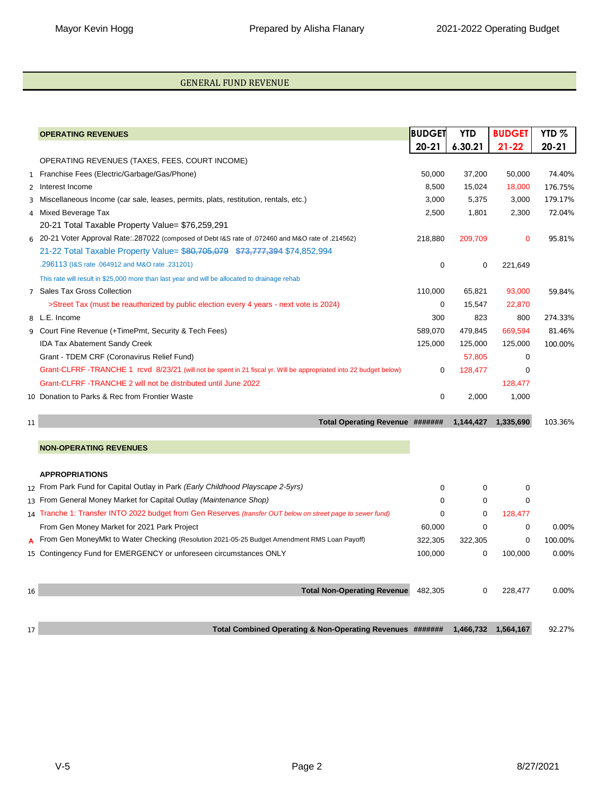#### GENERAL FUND REVENUE

|                | <b>OPERATING REVENUES</b>                                                                                         | <b>BUDGET</b> | <b>YTD</b>  | <b>BUDGET</b> | YTD <sub>%</sub> |
|----------------|-------------------------------------------------------------------------------------------------------------------|---------------|-------------|---------------|------------------|
|                |                                                                                                                   | $20 - 21$     | 6.30.21     | $21 - 22$     | $20 - 21$        |
|                | OPERATING REVENUES (TAXES, FEES, COURT INCOME)                                                                    |               |             |               |                  |
| $\mathbf{1}$   | Franchise Fees (Electric/Garbage/Gas/Phone)                                                                       | 50,000        | 37,200      | 50,000        | 74.40%           |
| $\overline{2}$ | Interest Income                                                                                                   | 8,500         | 15,024      | 18,000        | 176.75%          |
| 3              | Miscellaneous Income (car sale, leases, permits, plats, restitution, rentals, etc.)                               | 3,000         | 5,375       | 3,000         | 179.17%          |
| $\overline{4}$ | Mixed Beverage Tax                                                                                                | 2,500         | 1,801       | 2,300         | 72.04%           |
|                | 20-21 Total Taxable Property Value= \$76,259,291                                                                  |               |             |               |                  |
|                | 214562). 20-21 Voter Approval Rate:.287022 (composed of Debt I&S rate of .072460 and M&O rate of .214562)         | 218,880       | 209,709     | $\mathbf 0$   | 95.81%           |
|                | 21-22 Total Taxable Property Value= \$80,705,079 \$73,777,394 \$74,852,994                                        |               |             |               |                  |
|                | .296113 (I&S rate .064912 and M&O rate .231201)                                                                   | 0             | 0           | 221,649       |                  |
|                | This rate will result in \$25,000 more than last year and will be allocated to drainage rehab                     |               |             |               |                  |
| $\overline{7}$ | <b>Sales Tax Gross Collection</b>                                                                                 | 110,000       | 65,821      | 93,000        | 59.84%           |
|                | >Street Tax (must be reauthorized by public election every 4 years - next vote is 2024)                           | 0             | 15,547      | 22,870        |                  |
|                | 8 L.E. Income                                                                                                     | 300           | 823         | 800           | 274.33%          |
|                | 9 Court Fine Revenue (+TimePmt, Security & Tech Fees)                                                             | 589,070       | 479,845     | 669,594       | 81.46%           |
|                | <b>IDA Tax Abatement Sandy Creek</b>                                                                              | 125,000       | 125,000     | 125,000       | 100.00%          |
|                | Grant - TDEM CRF (Coronavirus Relief Fund)                                                                        |               | 57,805      | 0             |                  |
|                | Grant-CLFRF-TRANCHE 1 rcvd 8/23/21 (will not be spent in 21 fiscal yr. Will be appropriated into 22 budget below) | 0             | 128,477     | $\mathbf 0$   |                  |
|                | Grant-CLFRF-TRANCHE 2 will not be distributed until June 2022                                                     |               |             | 128,477       |                  |
|                | 10 Donation to Parks & Rec from Frontier Waste                                                                    | 0             | 2,000       | 1,000         |                  |
| 11             | Total Operating Revenue #######                                                                                   |               | 1,144,427   | 1,335,690     | 103.36%          |
|                |                                                                                                                   |               |             |               |                  |
|                | <b>NON-OPERATING REVENUES</b>                                                                                     |               |             |               |                  |
|                | <b>APPROPRIATIONS</b>                                                                                             |               |             |               |                  |
|                | $_{12}$ From Park Fund for Capital Outlay in Park (Early Childhood Playscape 2-5yrs)                              | 0             | $\mathbf 0$ | 0             |                  |
|                | 13 From General Money Market for Capital Outlay (Maintenance Shop)                                                | 0             | 0           | $\mathbf 0$   |                  |
|                | $_{14}$ Tranche 1: Transfer INTO 2022 budget from Gen Reserves (transfer OUT below on street page to sewer fund)  | 0             | 0           | 128,477       |                  |
|                | From Gen Money Market for 2021 Park Project                                                                       | 60,000        | 0           | 0             | 0.00%            |
| A              | From Gen MoneyMkt to Water Checking (Resolution 2021-05-25 Budget Amendment RMS Loan Payoff)                      | 322,305       | 322,305     | 0             | 100.00%          |
|                | 15 Contingency Fund for EMERGENCY or unforeseen circumstances ONLY                                                | 100,000       | $\mathbf 0$ | 100,000       | 0.00%            |
| 16             | <b>Total Non-Operating Revenue</b>                                                                                | 482,305       | $\mathbf 0$ | 228,477       | 0.00%            |
|                |                                                                                                                   |               |             |               |                  |
| 17             | Total Combined Operating & Non-Operating Revenues #######                                                         |               | 1,466,732   | 1,564,167     | 92.27%           |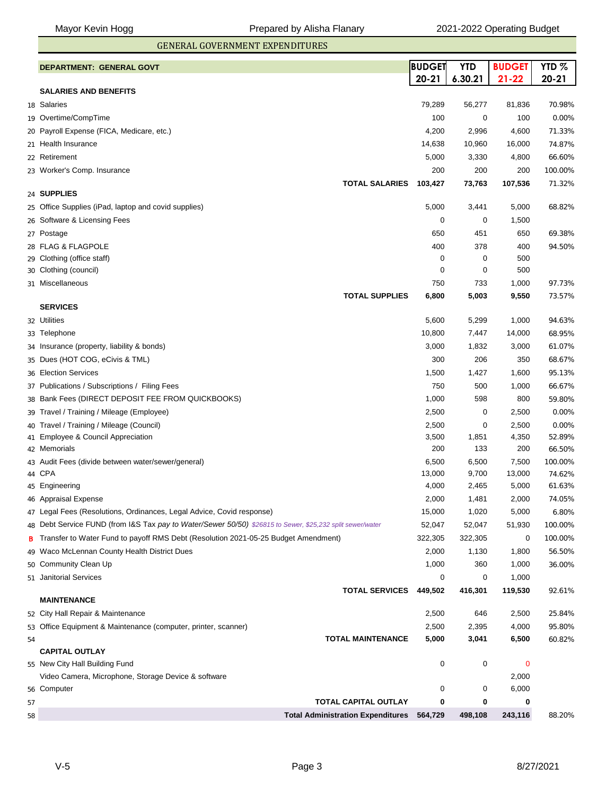GENERAL GOVERNMENT EXPENDITURES

|    | DEPARTMENT: GENERAL GOVT                                                                                  | <b>BUDGET</b> | <b>YTD</b> | <b>BUDGET</b>        | YTD <sub>%</sub> |
|----|-----------------------------------------------------------------------------------------------------------|---------------|------------|----------------------|------------------|
|    |                                                                                                           | $20 - 21$     | 6.30.21    | $21 - 22$            | $20 - 21$        |
|    | <b>SALARIES AND BENEFITS</b>                                                                              |               |            |                      |                  |
|    | 18 Salaries                                                                                               | 79,289        | 56,277     | 81,836               | 70.98%           |
|    | 19 Overtime/CompTime                                                                                      | 100           | 0          | 100                  | 0.00%            |
|    | 20 Payroll Expense (FICA, Medicare, etc.)                                                                 | 4,200         | 2,996      | 4,600                | 71.33%           |
|    | 21 Health Insurance                                                                                       | 14,638        | 10,960     | 16,000               | 74.87%           |
|    | 22 Retirement                                                                                             | 5,000         | 3,330      | 4,800                | 66.60%           |
|    | 23 Worker's Comp. Insurance                                                                               | 200           | 200        | 200                  | 100.00%          |
|    | <b>TOTAL SALARIES</b>                                                                                     | 103,427       | 73,763     | 107,536              | 71.32%           |
|    | 24 SUPPLIES                                                                                               |               |            |                      |                  |
|    | 25 Office Supplies (iPad, laptop and covid supplies)                                                      | 5,000         | 3,441      | 5,000                | 68.82%           |
|    | 26 Software & Licensing Fees                                                                              | 0             | 0          | 1,500                |                  |
|    | 27 Postage                                                                                                | 650           | 451        | 650                  | 69.38%           |
|    | 28 FLAG & FLAGPOLE                                                                                        | 400           | 378        | 400                  | 94.50%           |
|    | 29 Clothing (office staff)                                                                                | 0             | 0          | 500                  |                  |
|    | 30 Clothing (council)                                                                                     | 0             | 0          | 500                  |                  |
|    | 31 Miscellaneous                                                                                          | 750           | 733        | 1,000                | 97.73%           |
|    | <b>TOTAL SUPPLIES</b><br><b>SERVICES</b>                                                                  | 6,800         | 5,003      | 9,550                | 73.57%           |
|    | 32 Utilities                                                                                              | 5,600         | 5,299      | 1,000                | 94.63%           |
|    | 33 Telephone                                                                                              | 10,800        | 7,447      | 14,000               | 68.95%           |
|    | 34 Insurance (property, liability & bonds)                                                                | 3,000         | 1,832      | 3,000                | 61.07%           |
| 35 | Dues (HOT COG, eCivis & TML)                                                                              | 300           | 206        | 350                  | 68.67%           |
|    | 36 Election Services                                                                                      | 1,500         | 1,427      | 1,600                | 95.13%           |
|    | 37 Publications / Subscriptions / Filing Fees                                                             | 750           | 500        | 1,000                | 66.67%           |
|    | 38 Bank Fees (DIRECT DEPOSIT FEE FROM QUICKBOOKS)                                                         | 1,000         | 598        | 800                  | 59.80%           |
|    | 39 Travel / Training / Mileage (Employee)                                                                 | 2,500         | 0          | 2,500                | 0.00%            |
|    | Travel / Training / Mileage (Council)                                                                     | 2,500         | 0          | 2,500                | 0.00%            |
| 40 | 41 Employee & Council Appreciation                                                                        | 3,500         | 1,851      | 4,350                | 52.89%           |
|    | 42 Memorials                                                                                              | 200           | 133        | 200                  | 66.50%           |
| 43 | Audit Fees (divide between water/sewer/general)                                                           | 6,500         | 6,500      | 7,500                | 100.00%          |
|    | 44 CPA                                                                                                    | 13,000        | 9,700      | 13,000               | 74.62%           |
|    | 45 Engineering                                                                                            | 4,000         | 2,465      | 5,000                | 61.63%           |
|    | 46 Appraisal Expense                                                                                      | 2,000         | 1,481      | 2,000                | 74.05%           |
|    | 47 Legal Fees (Resolutions, Ordinances, Legal Advice, Covid response)                                     | 15,000        | 1,020      | 5,000                | 6.80%            |
|    | 48 Debt Service FUND (from I&S Tax pay to Water/Sewer 50/50) \$26815 to Sewer, \$25,232 split sewer/water | 52,047        | 52,047     | 51,930               | 100.00%          |
| в  | Transfer to Water Fund to payoff RMS Debt (Resolution 2021-05-25 Budget Amendment)                        | 322,305       | 322,305    | 0                    | 100.00%          |
| 49 | Waco McLennan County Health District Dues                                                                 | 2,000         | 1,130      | 1,800                | 56.50%           |
|    | 50 Community Clean Up                                                                                     | 1,000         | 360        | 1,000                | 36.00%           |
|    | 51 Janitorial Services                                                                                    | 0             | 0          | 1,000                |                  |
|    | <b>TOTAL SERVICES</b>                                                                                     | 449,502       | 416,301    | 119,530              | 92.61%           |
|    | <b>MAINTENANCE</b>                                                                                        |               |            |                      |                  |
|    | 52 City Hall Repair & Maintenance                                                                         | 2,500         | 646        | 2,500                | 25.84%           |
|    | 53 Office Equipment & Maintenance (computer, printer, scanner)                                            | 2,500         | 2,395      | 4,000                | 95.80%           |
| 54 | <b>TOTAL MAINTENANCE</b>                                                                                  | 5,000         | 3,041      | 6,500                | 60.82%           |
|    | <b>CAPITAL OUTLAY</b>                                                                                     |               |            |                      |                  |
|    | 55 New City Hall Building Fund<br>Video Camera, Microphone, Storage Device & software                     | 0             | 0          | $\mathbf 0$<br>2,000 |                  |
|    | 56 Computer                                                                                               | 0             | 0          | 6,000                |                  |
| 57 | TOTAL CAPITAL OUTLAY                                                                                      | 0             | 0          | 0                    |                  |
| 58 | <b>Total Administration Expenditures</b> 564,729                                                          |               | 498,108    | 243,116              | 88.20%           |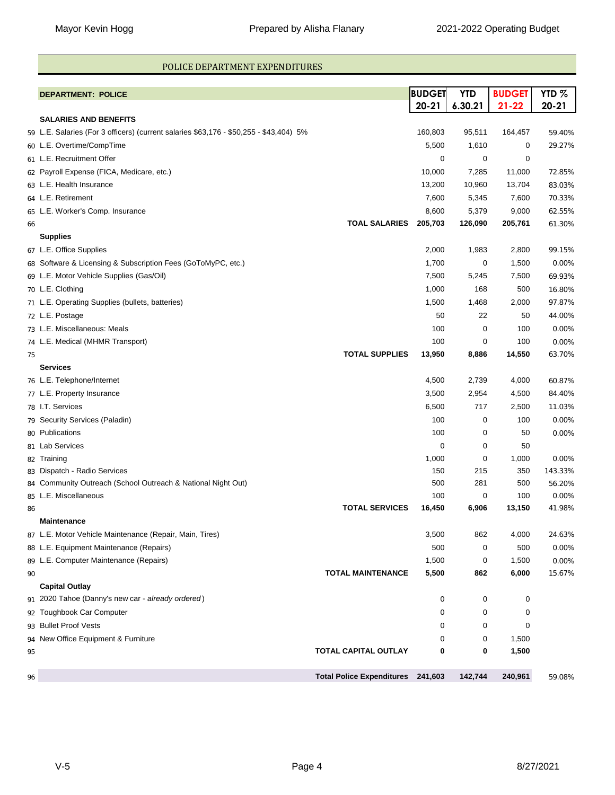#### POLICE DEPARTMENT EXPENDITURES

|    | <b>DEPARTMENT: POLICE</b>                                                              | <b>BUDGET</b> | <b>YTD</b> | <b>BUDGET</b> | YTD <sub>%</sub> |
|----|----------------------------------------------------------------------------------------|---------------|------------|---------------|------------------|
|    |                                                                                        | $20 - 21$     | 6.30.21    | $21 - 22$     | $20 - 21$        |
|    | <b>SALARIES AND BENEFITS</b>                                                           |               |            |               |                  |
|    | 59 L.E. Salaries (For 3 officers) (current salaries \$63,176 - \$50,255 - \$43,404) 5% | 160,803       | 95,511     | 164,457       | 59.40%           |
|    | 60 L.E. Overtime/CompTime                                                              | 5,500         | 1,610      | 0             | 29.27%           |
|    | 61 L.E. Recruitment Offer                                                              | 0             | 0          | 0             |                  |
|    | 62 Payroll Expense (FICA, Medicare, etc.)                                              | 10,000        | 7,285      | 11,000        | 72.85%           |
|    | 63 L.E. Health Insurance                                                               | 13,200        | 10,960     | 13,704        | 83.03%           |
|    | 64 L.E. Retirement                                                                     | 7,600         | 5,345      | 7,600         | 70.33%           |
|    | 65 L.E. Worker's Comp. Insurance                                                       | 8,600         | 5,379      | 9,000         | 62.55%           |
| 66 | <b>TOAL SALARIES</b>                                                                   | 205,703       | 126,090    | 205,761       | 61.30%           |
|    | <b>Supplies</b>                                                                        |               |            |               |                  |
|    | 67 L.E. Office Supplies                                                                | 2,000         | 1,983      | 2,800         | 99.15%           |
|    | 68 Software & Licensing & Subscription Fees (GoToMyPC, etc.)                           | 1,700         | 0          | 1,500         | 0.00%            |
|    | 69 L.E. Motor Vehicle Supplies (Gas/Oil)                                               | 7,500         | 5,245      | 7,500         | 69.93%           |
|    | 70 L.E. Clothing                                                                       | 1,000         | 168        | 500           | 16.80%           |
|    | 71 L.E. Operating Supplies (bullets, batteries)                                        | 1,500         | 1,468      | 2,000         | 97.87%           |
|    | 72 L.E. Postage                                                                        | 50            | 22         | 50            | 44.00%           |
|    | 73 L.E. Miscellaneous: Meals                                                           | 100           | 0          | 100           | 0.00%            |
|    | 74 L.E. Medical (MHMR Transport)                                                       | 100           | 0          | 100           | 0.00%            |
| 75 | <b>TOTAL SUPPLIES</b>                                                                  | 13,950        | 8,886      | 14,550        | 63.70%           |
|    | <b>Services</b>                                                                        |               |            |               |                  |
|    | 76 L.E. Telephone/Internet                                                             | 4,500         | 2,739      | 4,000         | 60.87%           |
|    | 77 L.E. Property Insurance                                                             | 3,500         | 2,954      | 4,500         | 84.40%           |
|    | 78 I.T. Services                                                                       | 6,500         | 717        | 2,500         | 11.03%           |
|    | 79 Security Services (Paladin)                                                         | 100           | 0          | 100           | 0.00%            |
|    | 80 Publications                                                                        | 100           | 0          | 50            | 0.00%            |
|    | 81 Lab Services                                                                        | $\mathbf 0$   | 0          | 50            |                  |
|    | 82 Training                                                                            | 1,000         | 0          | 1,000         | 0.00%            |
|    | 83 Dispatch - Radio Services                                                           | 150           | 215        | 350           | 143.33%          |
|    | 84 Community Outreach (School Outreach & National Night Out)                           | 500           | 281        | 500           | 56.20%           |
|    | 85 L.E. Miscellaneous                                                                  | 100           | 0          | 100           | 0.00%            |
| 86 | <b>TOTAL SERVICES</b>                                                                  | 16,450        | 6,906      | 13,150        | 41.98%           |
|    | <b>Maintenance</b>                                                                     |               |            |               |                  |
|    | 87 L.E. Motor Vehicle Maintenance (Repair, Main, Tires)                                | 3,500         | 862        | 4,000         | 24.63%           |
|    | 88 L.E. Equipment Maintenance (Repairs)                                                | 500           | 0          | 500           | 0.00%            |
|    | 89 L.E. Computer Maintenance (Repairs)                                                 | 1,500         | 0          | 1,500         | 0.00%            |
| 90 | <b>TOTAL MAINTENANCE</b>                                                               | 5,500         | 862        | 6,000         | 15.67%           |
|    | <b>Capital Outlay</b>                                                                  |               |            |               |                  |
| 91 | 2020 Tahoe (Danny's new car - already ordered)                                         | 0             | 0          | 0             |                  |
|    | 92 Toughbook Car Computer                                                              | 0             | 0          | 0             |                  |
|    | 93 Bullet Proof Vests                                                                  | $\Omega$      | 0          | 0             |                  |
|    | 94 New Office Equipment & Furniture                                                    | 0             | 0          | 1,500         |                  |
| 95 | TOTAL CAPITAL OUTLAY                                                                   | 0             | 0          | 1,500         |                  |
| 96 | Total Police Expenditures 241,603                                                      |               | 142,744    | 240,961       | 59.08%           |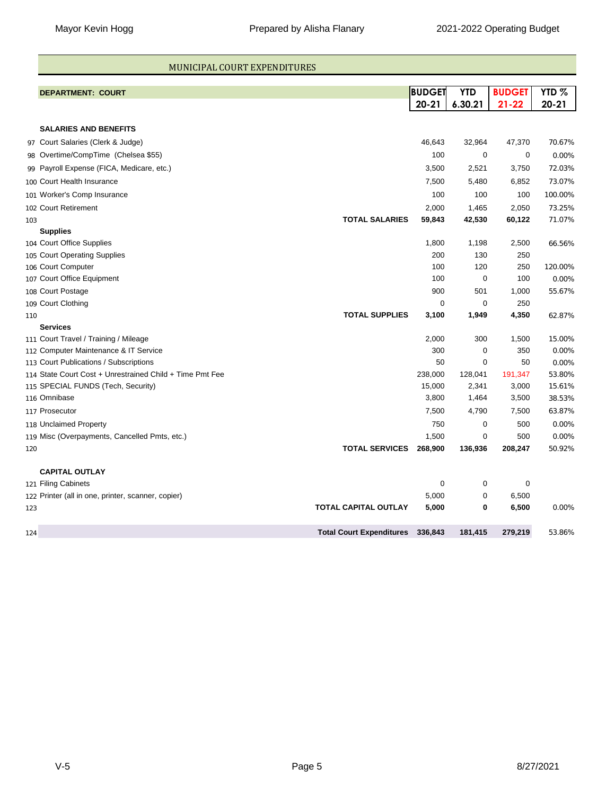#### MUNICIPAL COURT EXPENDITURES

|     | <b>DEPARTMENT: COURT</b>                                 |                                 | BUDGET<br>$20 - 21$ | <b>YTD</b><br>6.30.21 | <b>BUDGET</b><br>$21 - 22$ | YTD <sub>%</sub><br>$20 - 21$ |
|-----|----------------------------------------------------------|---------------------------------|---------------------|-----------------------|----------------------------|-------------------------------|
|     |                                                          |                                 |                     |                       |                            |                               |
|     | <b>SALARIES AND BENEFITS</b>                             |                                 |                     |                       |                            |                               |
|     | 97 Court Salaries (Clerk & Judge)                        |                                 | 46,643              | 32,964                | 47,370                     | 70.67%                        |
|     | 98 Overtime/CompTime (Chelsea \$55)                      |                                 | 100                 | 0                     | 0                          | 0.00%                         |
|     | 99 Payroll Expense (FICA, Medicare, etc.)                |                                 | 3,500               | 2,521                 | 3,750                      | 72.03%                        |
|     | 100 Court Health Insurance                               |                                 | 7,500               | 5,480                 | 6,852                      | 73.07%                        |
|     | 101 Worker's Comp Insurance                              |                                 | 100                 | 100                   | 100                        | 100.00%                       |
|     | 102 Court Retirement                                     |                                 | 2,000               | 1,465                 | 2,050                      | 73.25%                        |
| 103 |                                                          | <b>TOTAL SALARIES</b>           | 59,843              | 42,530                | 60,122                     | 71.07%                        |
|     | <b>Supplies</b>                                          |                                 |                     |                       |                            |                               |
|     | 104 Court Office Supplies                                |                                 | 1,800               | 1,198                 | 2,500                      | 66.56%                        |
|     | 105 Court Operating Supplies                             |                                 | 200                 | 130                   | 250                        |                               |
|     | 106 Court Computer                                       |                                 | 100                 | 120                   | 250                        | 120.00%                       |
|     | 107 Court Office Equipment                               |                                 | 100                 | 0                     | 100                        | 0.00%                         |
|     | 108 Court Postage                                        |                                 | 900                 | 501                   | 1,000                      | 55.67%                        |
|     | 109 Court Clothing                                       |                                 | $\mathbf 0$         | 0                     | 250                        |                               |
| 110 |                                                          | <b>TOTAL SUPPLIES</b>           | 3,100               | 1,949                 | 4,350                      | 62.87%                        |
|     | <b>Services</b>                                          |                                 |                     |                       |                            |                               |
|     | 111 Court Travel / Training / Mileage                    |                                 | 2,000               | 300                   | 1,500                      | 15.00%                        |
|     | 112 Computer Maintenance & IT Service                    |                                 | 300                 | 0                     | 350                        | 0.00%                         |
|     | 113 Court Publications / Subscriptions                   |                                 | 50                  | 0                     | 50                         | 0.00%                         |
|     | 114 State Court Cost + Unrestrained Child + Time Pmt Fee |                                 | 238,000             | 128,041               | 191,347                    | 53.80%                        |
|     | 115 SPECIAL FUNDS (Tech, Security)                       |                                 | 15,000              | 2,341                 | 3,000                      | 15.61%                        |
|     | 116 Omnibase                                             |                                 | 3,800               | 1,464                 | 3,500                      | 38.53%                        |
|     | 117 Prosecutor                                           |                                 | 7,500               | 4,790                 | 7,500                      | 63.87%                        |
|     | 118 Unclaimed Property                                   |                                 | 750                 | 0                     | 500                        | 0.00%                         |
|     | 119 Misc (Overpayments, Cancelled Pmts, etc.)            |                                 | 1,500               | 0                     | 500                        | 0.00%                         |
| 120 |                                                          | <b>TOTAL SERVICES</b>           | 268,900             | 136,936               | 208,247                    | 50.92%                        |
|     | <b>CAPITAL OUTLAY</b>                                    |                                 |                     |                       |                            |                               |
|     | 121 Filing Cabinets                                      |                                 | 0                   | 0                     | 0                          |                               |
|     | 122 Printer (all in one, printer, scanner, copier)       |                                 | 5,000               | 0                     | 6,500                      |                               |
| 123 |                                                          | <b>TOTAL CAPITAL OUTLAY</b>     | 5,000               | 0                     | 6,500                      | 0.00%                         |
| 124 |                                                          | <b>Total Court Expenditures</b> | 336,843             | 181,415               | 279,219                    | 53.86%                        |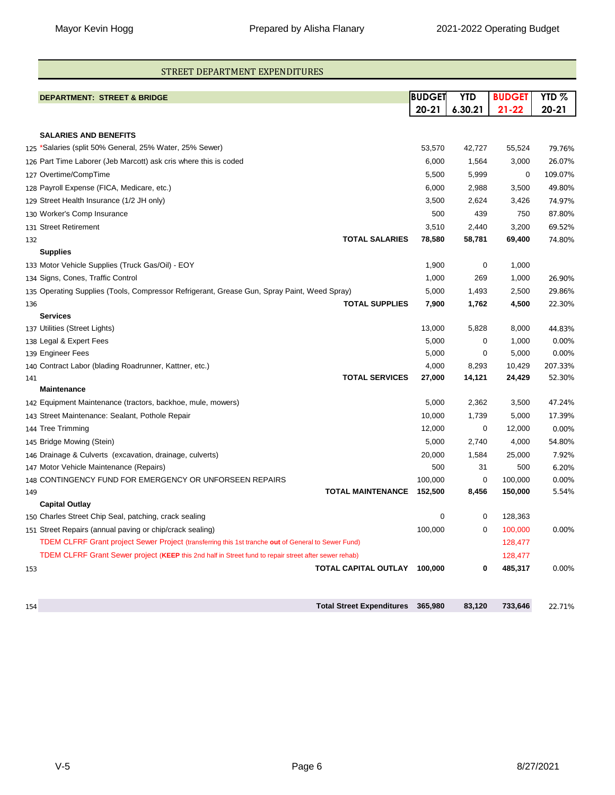#### STREET DEPARTMENT EXPENDITURES

|     | <b>DEPARTMENT: STREET &amp; BRIDGE</b>                                                                | <b>BUDGET</b> | <b>YTD</b> | <b>BUDGET</b> | YTD <sub>%</sub> |
|-----|-------------------------------------------------------------------------------------------------------|---------------|------------|---------------|------------------|
|     |                                                                                                       | $20 - 21$     | 6.30.21    | $21 - 22$     | $20 - 21$        |
|     | <b>SALARIES AND BENEFITS</b>                                                                          |               |            |               |                  |
|     | $_{125}$ *Salaries (split 50% General, 25% Water, 25% Sewer)                                          | 53,570        | 42,727     | 55,524        | 79.76%           |
|     | 126 Part Time Laborer (Jeb Marcott) ask cris where this is coded                                      | 6,000         | 1,564      | 3,000         | 26.07%           |
|     | 127 Overtime/CompTime                                                                                 | 5,500         | 5,999      | 0             | 109.07%          |
|     | 128 Payroll Expense (FICA, Medicare, etc.)                                                            | 6,000         | 2,988      | 3,500         | 49.80%           |
|     | 129 Street Health Insurance (1/2 JH only)                                                             | 3,500         | 2,624      | 3,426         | 74.97%           |
|     | 130 Worker's Comp Insurance                                                                           | 500           | 439        | 750           | 87.80%           |
|     | 131 Street Retirement                                                                                 | 3,510         | 2,440      | 3,200         | 69.52%           |
| 132 | <b>TOTAL SALARIES</b>                                                                                 | 78,580        | 58,781     | 69,400        | 74.80%           |
|     | <b>Supplies</b>                                                                                       |               |            |               |                  |
|     | 133 Motor Vehicle Supplies (Truck Gas/Oil) - EOY                                                      | 1,900         | 0          | 1,000         |                  |
|     | 134 Signs, Cones, Traffic Control                                                                     | 1,000         | 269        | 1,000         | 26.90%           |
|     | 135 Operating Supplies (Tools, Compressor Refrigerant, Grease Gun, Spray Paint, Weed Spray)           | 5,000         | 1,493      | 2,500         | 29.86%           |
| 136 | <b>TOTAL SUPPLIES</b>                                                                                 | 7,900         | 1,762      | 4,500         | 22.30%           |
|     | <b>Services</b>                                                                                       |               |            |               |                  |
|     | 137 Utilities (Street Lights)                                                                         | 13,000        | 5,828      | 8,000         | 44.83%           |
|     | 138 Legal & Expert Fees                                                                               | 5,000         | 0          | 1,000         | 0.00%            |
|     | 139 Engineer Fees                                                                                     | 5,000         | 0          | 5,000         | 0.00%            |
|     | 140 Contract Labor (blading Roadrunner, Kattner, etc.)                                                | 4,000         | 8,293      | 10,429        | 207.33%          |
| 141 | <b>TOTAL SERVICES</b>                                                                                 | 27,000        | 14,121     | 24,429        | 52.30%           |
|     | <b>Maintenance</b>                                                                                    |               |            |               |                  |
|     | 142 Equipment Maintenance (tractors, backhoe, mule, mowers)                                           | 5,000         | 2,362      | 3,500         | 47.24%           |
|     | 143 Street Maintenance: Sealant, Pothole Repair                                                       | 10,000        | 1,739      | 5,000         | 17.39%           |
|     | 144 Tree Trimming                                                                                     | 12,000        | 0          | 12,000        | 0.00%            |
|     | 145 Bridge Mowing (Stein)                                                                             | 5,000         | 2,740      | 4,000         | 54.80%           |
|     | 146 Drainage & Culverts (excavation, drainage, culverts)                                              | 20,000        | 1,584      | 25,000        | 7.92%            |
|     | 147 Motor Vehicle Maintenance (Repairs)                                                               | 500           | 31         | 500           | 6.20%            |
|     | 148 CONTINGENCY FUND FOR EMERGENCY OR UNFORSEEN REPAIRS                                               | 100,000       | 0          | 100,000       | 0.00%            |
| 149 | <b>TOTAL MAINTENANCE</b>                                                                              | 152,500       | 8,456      | 150,000       | 5.54%            |
|     | <b>Capital Outlay</b>                                                                                 |               |            |               |                  |
|     | 150 Charles Street Chip Seal, patching, crack sealing                                                 | 0             | 0          | 128,363       |                  |
|     | 151 Street Repairs (annual paving or chip/crack sealing)                                              | 100,000       | 0          | 100,000       | 0.00%            |
|     | TDEM CLFRF Grant project Sewer Project (transferring this 1st tranche out of General to Sewer Fund)   |               |            | 128,477       |                  |
|     | TDEM CLFRF Grant Sewer project (KEEP this 2nd half in Street fund to repair street after sewer rehab) |               |            | 128,477       |                  |
| 153 | TOTAL CAPITAL OUTLAY                                                                                  | 100.000       | 0          | 485,317       | 0.00%            |
|     |                                                                                                       |               |            |               |                  |
| 154 | Total Street Expenditures 365,980                                                                     |               | 83,120     | 733,646       | 22.71%           |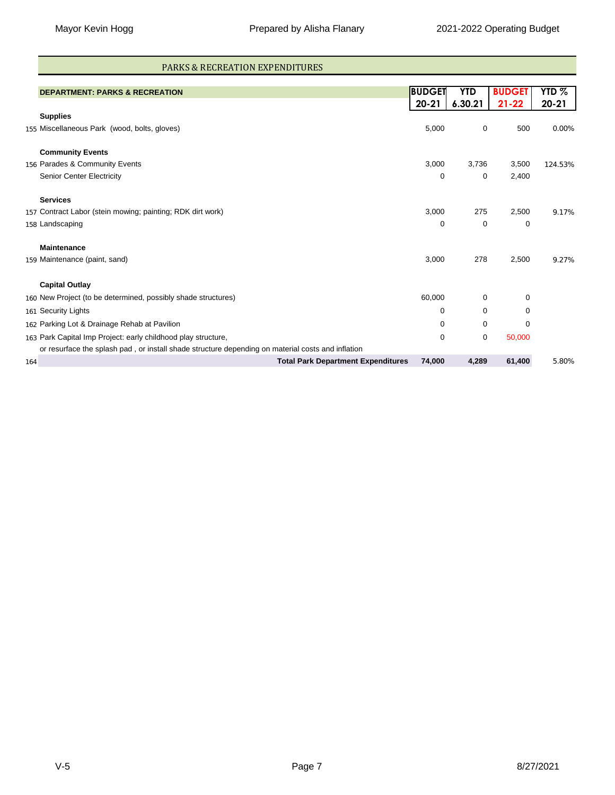#### PARKS & RECREATION EXPENDITURES

|     | <b>DEPARTMENT: PARKS &amp; RECREATION</b>                                                         | <b>BUDGET</b> | YTD         | <b>BUDGET</b> | YTD <sub>%</sub> |
|-----|---------------------------------------------------------------------------------------------------|---------------|-------------|---------------|------------------|
|     |                                                                                                   | $20 - 21$     | 6.30.21     | $21 - 22$     | $20 - 21$        |
|     | <b>Supplies</b>                                                                                   |               |             |               |                  |
|     | 155 Miscellaneous Park (wood, bolts, gloves)                                                      | 5,000         | 0           | 500           | 0.00%            |
|     | <b>Community Events</b>                                                                           |               |             |               |                  |
|     | 156 Parades & Community Events                                                                    | 3,000         | 3,736       | 3,500         | 124.53%          |
|     | Senior Center Electricity                                                                         | 0             | 0           | 2,400         |                  |
|     | <b>Services</b>                                                                                   |               |             |               |                  |
|     | 157 Contract Labor (stein mowing; painting; RDK dirt work)                                        | 3,000         | 275         | 2,500         | 9.17%            |
|     | 158 Landscaping                                                                                   | 0             | 0           | 0             |                  |
|     | <b>Maintenance</b>                                                                                |               |             |               |                  |
|     | 159 Maintenance (paint, sand)                                                                     | 3,000         | 278         | 2,500         | 9.27%            |
|     | <b>Capital Outlay</b>                                                                             |               |             |               |                  |
|     | 160 New Project (to be determined, possibly shade structures)                                     | 60,000        | 0           | 0             |                  |
|     | 161 Security Lights                                                                               | 0             | 0           | 0             |                  |
|     | 162 Parking Lot & Drainage Rehab at Pavilion                                                      | 0             | 0           | 0             |                  |
|     | 163 Park Capital Imp Project: early childhood play structure,                                     | 0             | $\mathbf 0$ | 50,000        |                  |
|     | or resurface the splash pad, or install shade structure depending on material costs and inflation |               |             |               |                  |
| 164 | <b>Total Park Department Expenditures</b>                                                         | 74,000        | 4,289       | 61,400        | 5.80%            |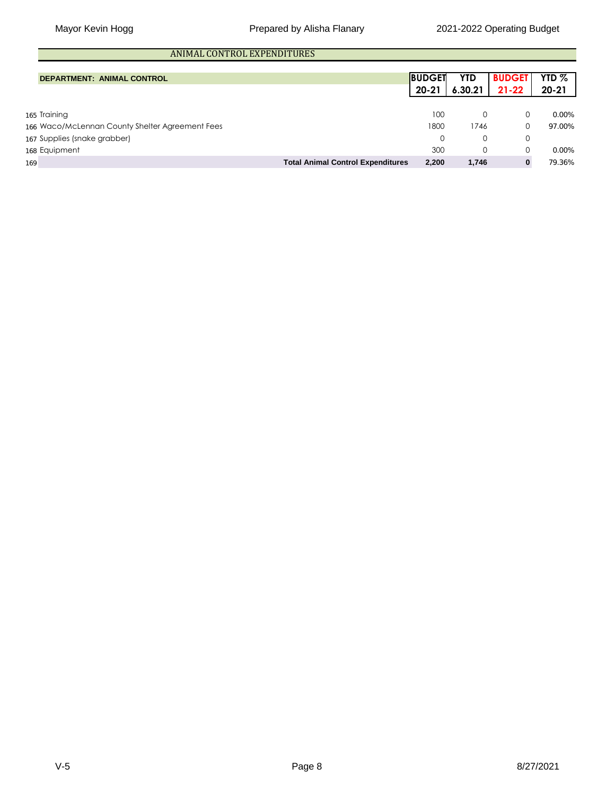# ANIMAL CONTROL EXPENDITURES

| <b>DEPARTMENT: ANIMAL CONTROL</b>               |                                          | <b>BUDGET</b><br>$20 - 21$ | YTD<br>6.30.21 | <b>BUDGET</b><br>$21 - 22$ | YTD $%$<br>$20 - 21$ |
|-------------------------------------------------|------------------------------------------|----------------------------|----------------|----------------------------|----------------------|
|                                                 |                                          |                            |                |                            |                      |
| 165 Training                                    |                                          | 100                        | 0              |                            | $0.00\%$             |
| 166 Waco/McLennan County Shelter Agreement Fees |                                          | 1800                       | 1746           |                            | 97.00%               |
| 167 Supplies (snake grabber)                    |                                          | 0                          | $\Omega$       |                            |                      |
| 168 Equipment                                   |                                          | 300                        |                |                            | $0.00\%$             |
| 169                                             | <b>Total Animal Control Expenditures</b> | 2.200                      | 1.746          |                            | 79.36%               |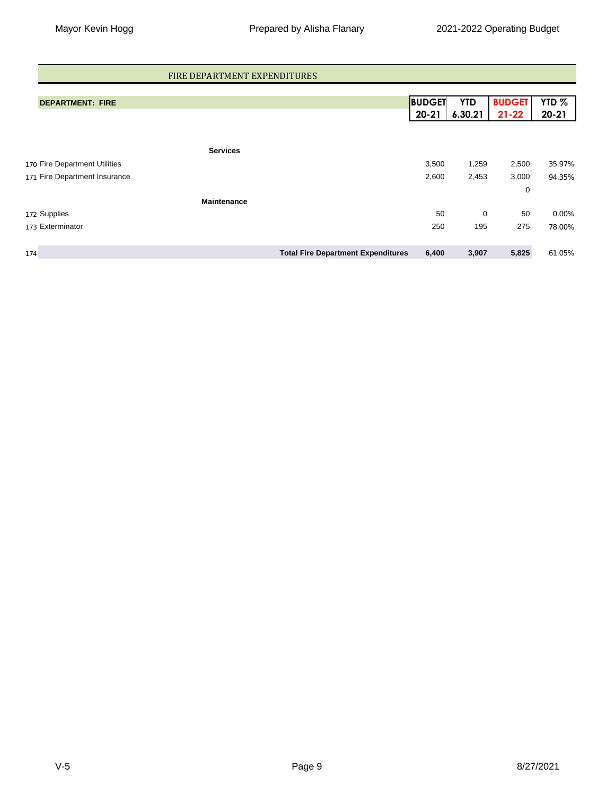#### FIRE DEPARTMENT EXPENDITURES

| <b>DEPARTMENT: FIRE</b>       | <b>BUDGET</b>                                      | <b>YTD</b> | <b>BUDGET</b> | YTD <sub>%</sub> |
|-------------------------------|----------------------------------------------------|------------|---------------|------------------|
|                               | $20 - 21$                                          | 6.30.21    | $21 - 22$     | $20 - 21$        |
|                               |                                                    |            |               |                  |
| <b>Services</b>               |                                                    |            |               |                  |
| 170 Fire Department Utilities | 3,500                                              | 1,259      | 2,500         | 35.97%           |
| 171 Fire Department Insurance | 2,600                                              | 2,453      | 3,000         | 94.35%           |
|                               |                                                    |            | 0             |                  |
| <b>Maintenance</b>            |                                                    |            |               |                  |
| 172 Supplies                  | 50                                                 | 0          | 50            | 0.00%            |
| 173 Exterminator              | 250                                                | 195        | 275           | 78.00%           |
|                               |                                                    |            |               |                  |
| 174                           | <b>Total Fire Department Expenditures</b><br>6,400 | 3,907      | 5,825         | 61.05%           |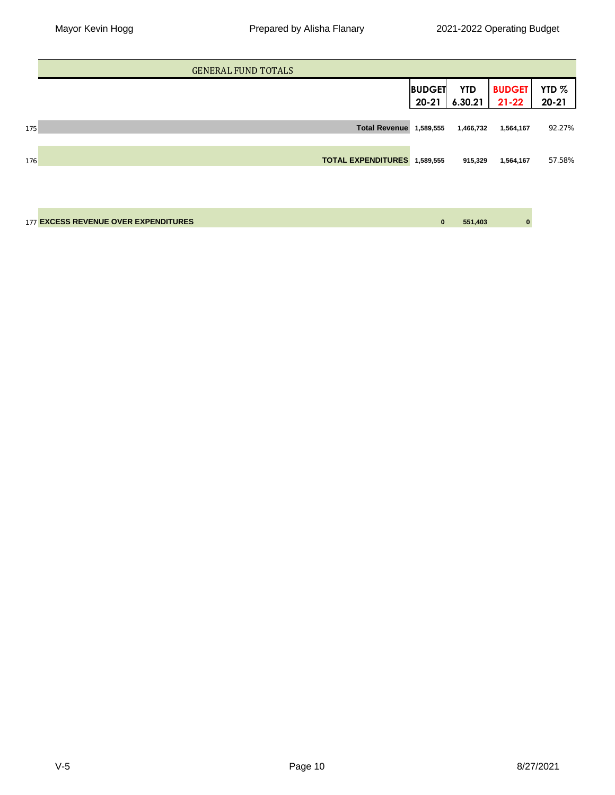|     | <b>GENERAL FUND TOTALS</b>           |                            |                       |                            |                               |
|-----|--------------------------------------|----------------------------|-----------------------|----------------------------|-------------------------------|
|     |                                      | <b>BUDGET</b><br>$20 - 21$ | <b>YTD</b><br>6.30.21 | <b>BUDGET</b><br>$21 - 22$ | YTD <sub>%</sub><br>$20 - 21$ |
| 175 | <b>Total Revenue</b>                 | 1,589,555                  | 1,466,732             | 1,564,167                  | 92.27%                        |
| 176 | <b>TOTAL EXPENDITURES</b>            | 1,589,555                  | 915,329               | 1,564,167                  | 57.58%                        |
|     |                                      |                            |                       |                            |                               |
|     | 177 EXCESS REVENUE OVER EXPENDITURES | $\bf{0}$                   | 551,403               | $\bf{0}$                   |                               |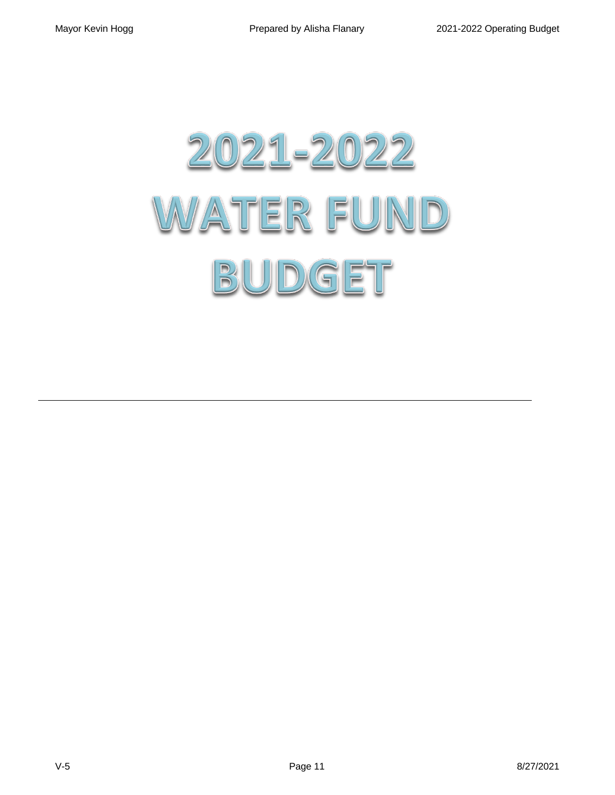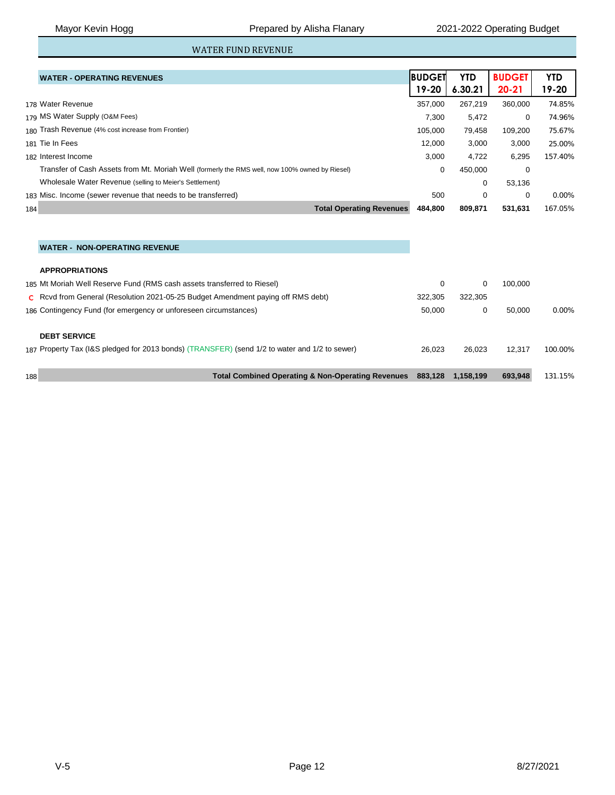## WATER FUND REVENUE

|                 | <b>WATER - OPERATING REVENUES</b>                                                              | <b>IBUDGET</b> | <b>YTD</b> | <b>BUDGET</b> | <b>YTD</b> |
|-----------------|------------------------------------------------------------------------------------------------|----------------|------------|---------------|------------|
|                 |                                                                                                | 19-20          | 6.30.21    | $20 - 21$     | 19-20      |
|                 | 178 Water Revenue                                                                              | 357,000        | 267,219    | 360,000       | 74.85%     |
|                 | 179 MS Water Supply (O&M Fees)                                                                 | 7,300          | 5,472      | 0             | 74.96%     |
|                 | 180 Trash Revenue (4% cost increase from Frontier)                                             | 105.000        | 79.458     | 109.200       | 75.67%     |
| 181 Tie In Fees |                                                                                                | 12.000         | 3,000      | 3,000         | 25.00%     |
|                 | 182 Interest Income                                                                            | 3,000          | 4,722      | 6,295         | 157.40%    |
|                 | Transfer of Cash Assets from Mt. Moriah Well (formerly the RMS well, now 100% owned by Riesel) | 0              | 450,000    | 0             |            |
|                 | Wholesale Water Revenue (selling to Meier's Settlement)                                        |                | 0          | 53.136        |            |
|                 | 183 Misc. Income (sewer revenue that needs to be transferred)                                  | 500            | 0          | $\Omega$      | 0.00%      |
| 184             | <b>Total Operating Revenues</b>                                                                | 484.800        | 809.871    | 531,631       | 167.05%    |

#### **WATER - NON-OPERATING REVENUE**

#### **APPROPRIATIONS**

| 188 | <b>Total Combined Operating &amp; Non-Operating Revenues</b>                                                         | 883.128 | 1.158.199 | 693.948 | 131.15%  |
|-----|----------------------------------------------------------------------------------------------------------------------|---------|-----------|---------|----------|
|     | <b>DEBT SERVICE</b><br>187 Property Tax (I&S pledged for 2013 bonds) (TRANSFER) (send 1/2 to water and 1/2 to sewer) | 26.023  | 26.023    | 12.317  | 100.00%  |
|     | 186 Contingency Fund (for emergency or unforeseen circumstances)                                                     | 50.000  | 0         | 50.000  | $0.00\%$ |
|     | C Rcvd from General (Resolution 2021-05-25 Budget Amendment paying off RMS debt)                                     | 322.305 | 322.305   |         |          |
|     | 185 Mt Moriah Well Reserve Fund (RMS cash assets transferred to Riesel)                                              | 0       | 0         | 100.000 |          |
|     |                                                                                                                      |         |           |         |          |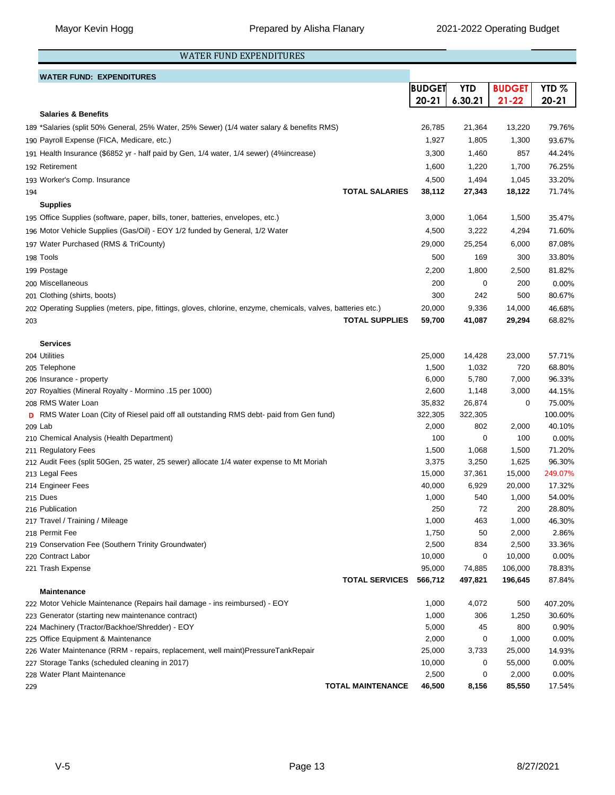## WATER FUND EXPENDITURES

## **WATER FUND: EXPENDITURES**

|     |                                                                                                              | <b>BUDGET</b>   | <b>YTD</b>      | <b>BUDGET</b>    | YTD $%$           |
|-----|--------------------------------------------------------------------------------------------------------------|-----------------|-----------------|------------------|-------------------|
|     |                                                                                                              | $20 - 21$       | 6.30.21         | $21 - 22$        | $20 - 21$         |
|     | <b>Salaries &amp; Benefits</b>                                                                               |                 |                 |                  |                   |
|     | 189 *Salaries (split 50% General, 25% Water, 25% Sewer) (1/4 water salary & benefits RMS)                    | 26,785          | 21,364          | 13,220           | 79.76%            |
|     | 190 Payroll Expense (FICA, Medicare, etc.)                                                                   | 1,927           | 1,805           | 1,300            | 93.67%            |
|     | 191 Health Insurance (\$6852 yr - half paid by Gen, 1/4 water, 1/4 sewer) (4%increase)                       | 3,300           | 1,460           | 857              | 44.24%            |
|     | 192 Retirement                                                                                               | 1,600           | 1,220           | 1,700            | 76.25%            |
|     | 193 Worker's Comp. Insurance                                                                                 | 4,500           | 1,494           | 1,045            | 33.20%            |
| 194 | <b>TOTAL SALARIES</b>                                                                                        | 38,112          | 27,343          | 18,122           | 71.74%            |
|     | <b>Supplies</b>                                                                                              |                 |                 |                  |                   |
|     |                                                                                                              |                 |                 |                  |                   |
|     | 195 Office Supplies (software, paper, bills, toner, batteries, envelopes, etc.)                              | 3,000           | 1,064           | 1,500            | 35.47%            |
|     | 196 Motor Vehicle Supplies (Gas/Oil) - EOY 1/2 funded by General, 1/2 Water                                  | 4,500           | 3,222           | 4,294            | 71.60%            |
|     | 197 Water Purchased (RMS & TriCounty)                                                                        | 29,000          | 25,254          | 6,000            | 87.08%            |
|     | 198 <b>Tools</b>                                                                                             | 500             | 169             | 300              | 33.80%            |
|     | 199 Postage                                                                                                  | 2,200           | 1,800           | 2,500            | 81.82%            |
|     | 200 Miscellaneous                                                                                            | 200             | 0               | 200              | 0.00%             |
|     | 201 Clothing (shirts, boots)                                                                                 | 300             | 242             | 500              | 80.67%            |
|     | 202 Operating Supplies (meters, pipe, fittings, gloves, chlorine, enzyme, chemicals, valves, batteries etc.) | 20,000          | 9,336           | 14,000           | 46.68%            |
| 203 | <b>TOTAL SUPPLIES</b>                                                                                        | 59,700          | 41,087          | 29,294           | 68.82%            |
|     |                                                                                                              |                 |                 |                  |                   |
|     | <b>Services</b>                                                                                              |                 |                 |                  |                   |
|     | 204 Utilities                                                                                                | 25,000          | 14,428          | 23,000           | 57.71%            |
|     | 205 Telephone                                                                                                | 1,500           | 1,032           | 720              | 68.80%            |
|     | 206 Insurance - property                                                                                     | 6,000           | 5,780           | 7,000            | 96.33%            |
|     | 207 Royalties (Mineral Royalty - Mormino .15 per 1000)                                                       | 2,600           | 1,148           | 3,000            | 44.15%            |
|     | 208 RMS Water Loan                                                                                           | 35,832          | 26,874          | 0                | 75.00%            |
|     | D RMS Water Loan (City of Riesel paid off all outstanding RMS debt- paid from Gen fund)                      | 322,305         | 322,305         |                  | 100.00%           |
|     | 209 Lab                                                                                                      | 2,000           | 802             | 2,000            | 40.10%            |
|     | 210 Chemical Analysis (Health Department)                                                                    | 100             | 0               | 100              | 0.00%             |
|     | 211 Regulatory Fees                                                                                          | 1,500           | 1,068           | 1,500            | 71.20%            |
|     | 212 Audit Fees (split 50Gen, 25 water, 25 sewer) allocate 1/4 water expense to Mt Moriah<br>213 Legal Fees   | 3,375<br>15,000 | 3,250           | 1,625            | 96.30%            |
|     | 214 Engineer Fees                                                                                            | 40,000          | 37,361<br>6,929 | 15,000<br>20,000 | 249.07%<br>17.32% |
|     | 215 Dues                                                                                                     | 1,000           | 540             | 1,000            | 54.00%            |
|     | 216 Publication                                                                                              | 250             | 72              | 200              | 28.80%            |
|     | 217 Travel / Training / Mileage                                                                              | 1,000           | 463             | 1,000            | 46.30%            |
|     | 218 Permit Fee                                                                                               | 1,750           | 50              | 2,000            | 2.86%             |
|     | 219 Conservation Fee (Southern Trinity Groundwater)                                                          | 2,500           | 834             | 2,500            | 33.36%            |
|     | 220 Contract Labor                                                                                           | 10,000          | 0               | 10,000           | 0.00%             |
|     | 221 Trash Expense                                                                                            | 95,000          | 74,885          | 106,000          | 78.83%            |
|     | <b>TOTAL SERVICES</b>                                                                                        | 566,712         | 497,821         | 196,645          | 87.84%            |
|     | <b>Maintenance</b>                                                                                           |                 |                 |                  |                   |
|     | 222 Motor Vehicle Maintenance (Repairs hail damage - ins reimbursed) - EOY                                   | 1,000           | 4,072           | 500              | 407.20%           |
|     | 223 Generator (starting new maintenance contract)                                                            | 1,000           | 306             | 1,250            | 30.60%            |
|     | 224 Machinery (Tractor/Backhoe/Shredder) - EOY                                                               | 5,000           | 45              | 800              | 0.90%             |
|     | 225 Office Equipment & Maintenance                                                                           | 2,000           | 0               | 1,000            | 0.00%             |
|     | 226 Water Maintenance (RRM - repairs, replacement, well maint)PressureTankRepair                             | 25,000          | 3,733           | 25,000           | 14.93%            |
|     | 227 Storage Tanks (scheduled cleaning in 2017)                                                               | 10,000          | 0               | 55,000           | 0.00%             |
|     | 228 Water Plant Maintenance                                                                                  | 2,500           | 0               | 2,000            | 0.00%             |
| 229 | <b>TOTAL MAINTENANCE</b>                                                                                     | 46,500          | 8,156           | 85,550           | 17.54%            |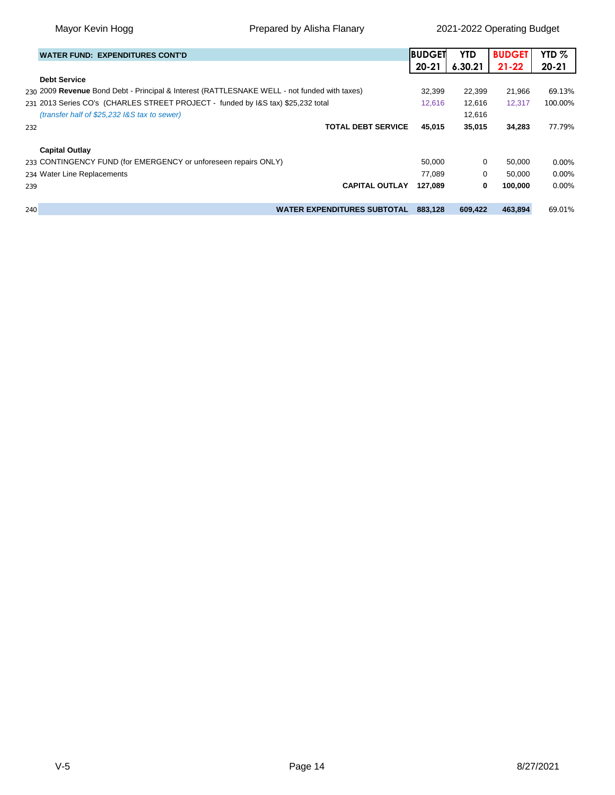Mayor Kevin Hogg **Prepared by Alisha Flanary** 2021-2022 Operating Budget

|     | <b>WATER FUND: EXPENDITURES CONT'D</b>                                                       | <b>BUDGET</b> | <b>YTD</b> | <b>BUDGET</b> | YTD $%$   |
|-----|----------------------------------------------------------------------------------------------|---------------|------------|---------------|-----------|
|     |                                                                                              | $20 - 21$     | 6.30.21    | $21 - 22$     | $20 - 21$ |
|     | <b>Debt Service</b>                                                                          |               |            |               |           |
|     | 230 2009 Revenue Bond Debt - Principal & Interest (RATTLESNAKE WELL - not funded with taxes) | 32.399        | 22.399     | 21.966        | 69.13%    |
|     | 231 2013 Series CO's (CHARLES STREET PROJECT - funded by I&S tax) \$25,232 total             | 12,616        | 12,616     | 12,317        | 100.00%   |
|     | (transfer half of \$25,232 I&S tax to sewer)                                                 |               | 12,616     |               |           |
| 232 | <b>TOTAL DEBT SERVICE</b>                                                                    | 45,015        | 35,015     | 34,283        | 77.79%    |
|     | <b>Capital Outlay</b>                                                                        |               |            |               |           |
|     | 233 CONTINGENCY FUND (for EMERGENCY or unforeseen repairs ONLY)                              | 50.000        | 0          | 50.000        | 0.00%     |
|     | 234 Water Line Replacements                                                                  | 77.089        | 0          | 50,000        | 0.00%     |
| 239 | <b>CAPITAL OUTLAY</b>                                                                        | 127.089       | 0          | 100.000       | 0.00%     |
| 240 | <b>WATER EXPENDITURES SUBTOTAL</b>                                                           | 883.128       | 609,422    | 463.894       | 69.01%    |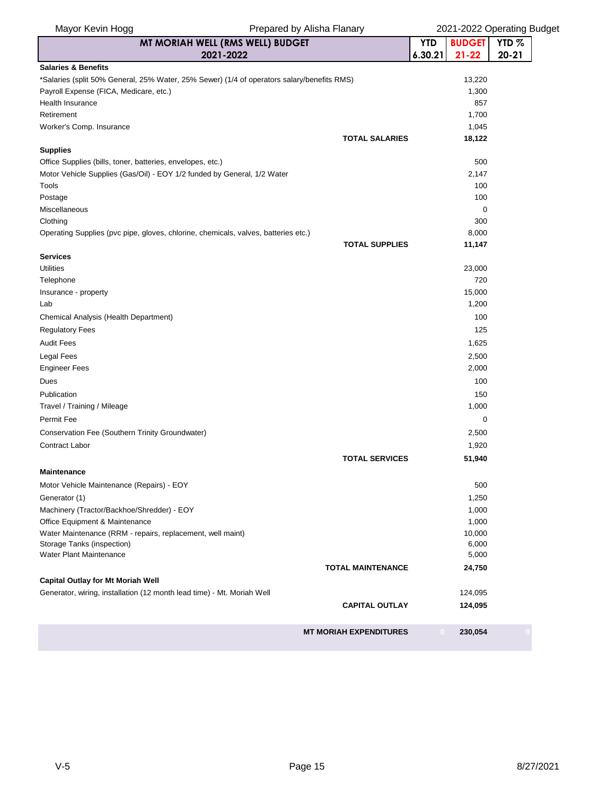| Mayor Kevin Hogg                                                                   | Prepared by Alisha Flanary                                                                 |            | 2021-2022 Operating Budget |                  |  |  |  |
|------------------------------------------------------------------------------------|--------------------------------------------------------------------------------------------|------------|----------------------------|------------------|--|--|--|
|                                                                                    | MT MORIAH WELL (RMS WELL) BUDGET                                                           | <b>YTD</b> | <b>BUDGET</b>              | YTD <sub>%</sub> |  |  |  |
|                                                                                    | 2021-2022                                                                                  | 6.30.21    | $21 - 22$                  | $20 - 21$        |  |  |  |
| <b>Salaries &amp; Benefits</b>                                                     |                                                                                            |            |                            |                  |  |  |  |
|                                                                                    | *Salaries (split 50% General, 25% Water, 25% Sewer) (1/4 of operators salary/benefits RMS) |            | 13,220                     |                  |  |  |  |
| Payroll Expense (FICA, Medicare, etc.)                                             |                                                                                            |            | 1,300                      |                  |  |  |  |
| Health Insurance                                                                   |                                                                                            |            | 857                        |                  |  |  |  |
| Retirement                                                                         |                                                                                            |            | 1,700                      |                  |  |  |  |
| Worker's Comp. Insurance                                                           |                                                                                            |            | 1,045                      |                  |  |  |  |
| <b>Supplies</b>                                                                    | <b>TOTAL SALARIES</b>                                                                      |            | 18,122                     |                  |  |  |  |
| Office Supplies (bills, toner, batteries, envelopes, etc.)                         |                                                                                            |            | 500                        |                  |  |  |  |
| Motor Vehicle Supplies (Gas/Oil) - EOY 1/2 funded by General, 1/2 Water            |                                                                                            |            | 2,147                      |                  |  |  |  |
| Tools                                                                              |                                                                                            |            | 100                        |                  |  |  |  |
| Postage                                                                            |                                                                                            |            | 100                        |                  |  |  |  |
| Miscellaneous                                                                      |                                                                                            |            | 0                          |                  |  |  |  |
| Clothing                                                                           |                                                                                            |            | 300                        |                  |  |  |  |
| Operating Supplies (pvc pipe, gloves, chlorine, chemicals, valves, batteries etc.) |                                                                                            |            | 8,000                      |                  |  |  |  |
|                                                                                    | <b>TOTAL SUPPLIES</b>                                                                      |            | 11,147                     |                  |  |  |  |
| <b>Services</b>                                                                    |                                                                                            |            |                            |                  |  |  |  |
| <b>Utilities</b>                                                                   |                                                                                            |            | 23,000                     |                  |  |  |  |
| Telephone                                                                          |                                                                                            |            | 720                        |                  |  |  |  |
| Insurance - property                                                               |                                                                                            |            | 15,000                     |                  |  |  |  |
| Lab                                                                                |                                                                                            |            | 1,200                      |                  |  |  |  |
| Chemical Analysis (Health Department)                                              |                                                                                            |            | 100                        |                  |  |  |  |
| <b>Regulatory Fees</b>                                                             |                                                                                            |            | 125                        |                  |  |  |  |
| <b>Audit Fees</b>                                                                  |                                                                                            |            | 1,625                      |                  |  |  |  |
| <b>Legal Fees</b>                                                                  |                                                                                            |            | 2,500                      |                  |  |  |  |
| <b>Engineer Fees</b>                                                               |                                                                                            |            | 2,000                      |                  |  |  |  |
| Dues                                                                               |                                                                                            |            | 100                        |                  |  |  |  |
| Publication                                                                        |                                                                                            |            | 150                        |                  |  |  |  |
| Travel / Training / Mileage                                                        |                                                                                            |            | 1,000                      |                  |  |  |  |
| Permit Fee                                                                         |                                                                                            |            | 0                          |                  |  |  |  |
| Conservation Fee (Southern Trinity Groundwater)                                    |                                                                                            |            | 2,500                      |                  |  |  |  |
| Contract Labor                                                                     |                                                                                            |            |                            |                  |  |  |  |
|                                                                                    |                                                                                            |            | 1,920                      |                  |  |  |  |
|                                                                                    | <b>TOTAL SERVICES</b>                                                                      |            | 51,940                     |                  |  |  |  |
| Maintenance                                                                        |                                                                                            |            |                            |                  |  |  |  |
| Motor Vehicle Maintenance (Repairs) - EOY                                          |                                                                                            |            | 500                        |                  |  |  |  |
| Generator (1)                                                                      |                                                                                            |            | 1,250                      |                  |  |  |  |
| Machinery (Tractor/Backhoe/Shredder) - EOY                                         |                                                                                            |            | 1,000                      |                  |  |  |  |
| Office Equipment & Maintenance                                                     |                                                                                            |            | 1,000                      |                  |  |  |  |
| Water Maintenance (RRM - repairs, replacement, well maint)                         |                                                                                            |            | 10,000                     |                  |  |  |  |
| Storage Tanks (inspection)<br><b>Water Plant Maintenance</b>                       |                                                                                            |            | 6,000<br>5,000             |                  |  |  |  |
|                                                                                    | <b>TOTAL MAINTENANCE</b>                                                                   |            | 24,750                     |                  |  |  |  |
| <b>Capital Outlay for Mt Moriah Well</b>                                           |                                                                                            |            |                            |                  |  |  |  |
| Generator, wiring, installation (12 month lead time) - Mt. Moriah Well             |                                                                                            |            | 124,095                    |                  |  |  |  |
|                                                                                    | <b>CAPITAL OUTLAY</b>                                                                      |            | 124,095                    |                  |  |  |  |
|                                                                                    |                                                                                            |            |                            |                  |  |  |  |
|                                                                                    | <b>MT MORIAH EXPENDITURES</b>                                                              |            | 230,054                    |                  |  |  |  |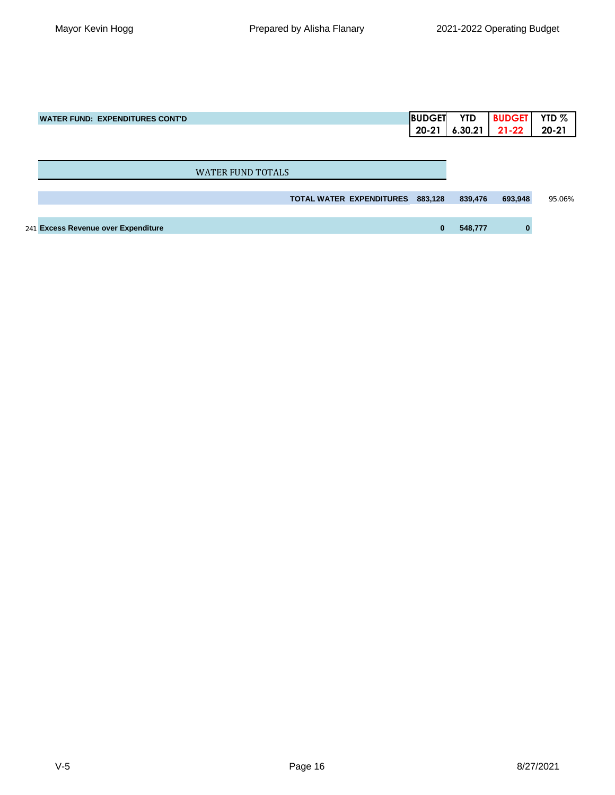| <b>WATER FUND: EXPENDITURES CONT'D</b> | <b>BUDGET</b>                       | <b>YTD</b> | <b>BUDGET</b> | YTD $%$   |
|----------------------------------------|-------------------------------------|------------|---------------|-----------|
|                                        | $20 - 21$                           | 6.30.21    | $21 - 22$     | $20 - 21$ |
|                                        |                                     |            |               |           |
|                                        |                                     |            |               |           |
| WATER FUND TOTALS                      |                                     |            |               |           |
|                                        |                                     |            |               |           |
|                                        | TOTAL WATER EXPENDITURES<br>883,128 | 839,476    | 693,948       | 95.06%    |
|                                        |                                     |            |               |           |
| 241 Excess Revenue over Expenditure    | $\bf{0}$                            | 548,777    | 0             |           |
|                                        |                                     |            |               |           |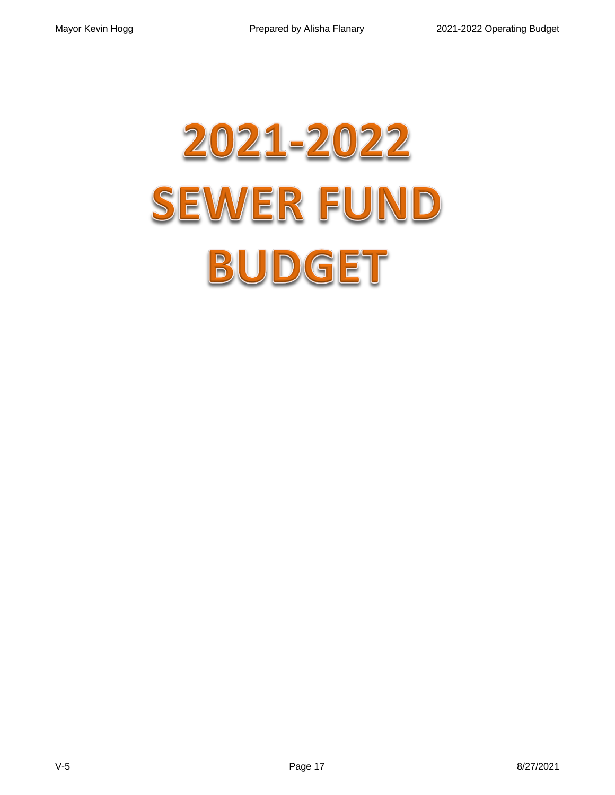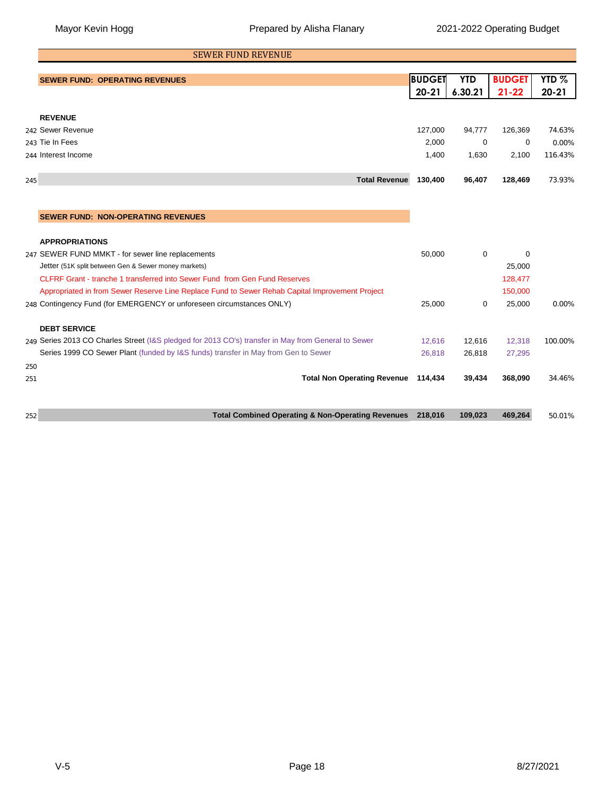|     | <b>SEWER FUND REVENUE</b>                                                                           |                     |                       |                            |                               |
|-----|-----------------------------------------------------------------------------------------------------|---------------------|-----------------------|----------------------------|-------------------------------|
|     | <b>SEWER FUND: OPERATING REVENUES</b>                                                               | BUDGET<br>$20 - 21$ | <b>YTD</b><br>6.30.21 | <b>BUDGET</b><br>$21 - 22$ | YTD <sub>%</sub><br>$20 - 21$ |
|     |                                                                                                     |                     |                       |                            |                               |
|     | <b>REVENUE</b>                                                                                      |                     |                       |                            |                               |
|     | 242 Sewer Revenue                                                                                   | 127,000             | 94,777                | 126,369                    | 74.63%                        |
|     | 243 Tie In Fees                                                                                     | 2,000               | 0                     | 0                          | 0.00%                         |
|     | 244 Interest Income                                                                                 | 1,400               | 1,630                 | 2,100                      | 116.43%                       |
| 245 | <b>Total Revenue</b>                                                                                | 130,400             | 96,407                | 128,469                    | 73.93%                        |
|     |                                                                                                     |                     |                       |                            |                               |
|     | <b>SEWER FUND: NON-OPERATING REVENUES</b>                                                           |                     |                       |                            |                               |
|     |                                                                                                     |                     |                       |                            |                               |
|     | <b>APPROPRIATIONS</b>                                                                               |                     |                       |                            |                               |
| 247 | SEWER FUND MMKT - for sewer line replacements                                                       | 50,000              | 0                     | 0                          |                               |
|     | Jetter (51K split between Gen & Sewer money markets)                                                |                     |                       | 25,000                     |                               |
|     | CLFRF Grant - tranche 1 transferred into Sewer Fund from Gen Fund Reserves                          |                     |                       | 128,477                    |                               |
|     | Appropriated in from Sewer Reserve Line Replace Fund to Sewer Rehab Capital Improvement Project     |                     |                       | 150,000                    |                               |
|     | 248 Contingency Fund (for EMERGENCY or unforeseen circumstances ONLY)                               | 25,000              | 0                     | 25,000                     | 0.00%                         |
|     | <b>DEBT SERVICE</b>                                                                                 |                     |                       |                            |                               |
|     | 249 Series 2013 CO Charles Street (I&S pledged for 2013 CO's) transfer in May from General to Sewer | 12,616              | 12,616                | 12,318                     | 100.00%                       |
|     | Series 1999 CO Sewer Plant (funded by I&S funds) transfer in May from Gen to Sewer                  | 26,818              | 26,818                | 27,295                     |                               |
| 250 |                                                                                                     |                     |                       |                            |                               |
| 251 | <b>Total Non Operating Revenue</b>                                                                  | 114,434             | 39,434                | 368,090                    | 34.46%                        |
|     |                                                                                                     |                     |                       |                            |                               |
| 252 | <b>Total Combined Operating &amp; Non-Operating Revenues</b>                                        | 218,016             | 109,023               | 469,264                    | 50.01%                        |